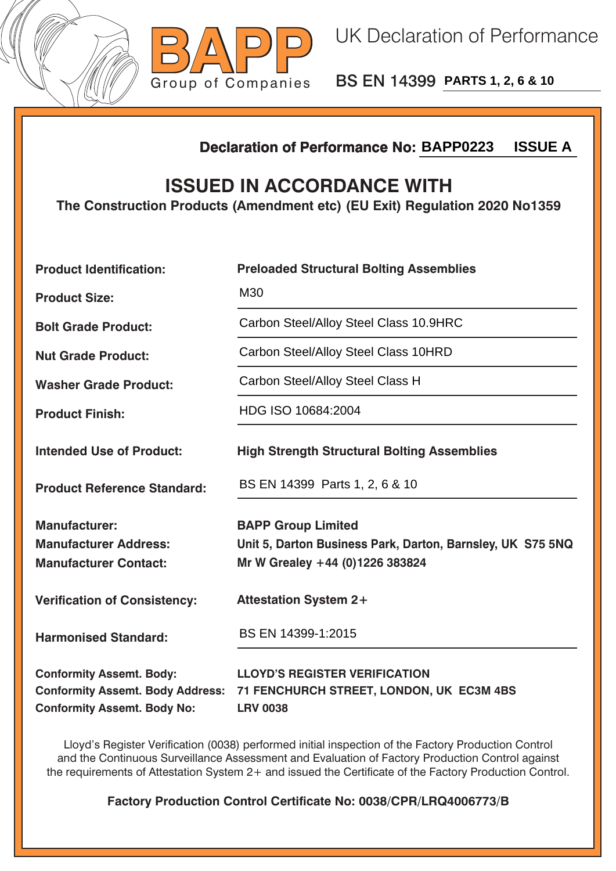



BS EN 14399 **PARTS 1, 2, 6 & 10**

## **Declaration of Performance No:**

## **ISSUED IN ACCORDANCE WITH**

|                                                                                                                  | <b>ISSUE A</b><br><b>Declaration of Performance No: BAPP0223</b>                                                           |  |  |  |  |
|------------------------------------------------------------------------------------------------------------------|----------------------------------------------------------------------------------------------------------------------------|--|--|--|--|
| <b>ISSUED IN ACCORDANCE WITH</b><br>The Construction Products (Amendment etc) (EU Exit) Regulation 2020 No1359   |                                                                                                                            |  |  |  |  |
| <b>Product Identification:</b>                                                                                   | <b>Preloaded Structural Bolting Assemblies</b>                                                                             |  |  |  |  |
| <b>Product Size:</b>                                                                                             | M30                                                                                                                        |  |  |  |  |
| <b>Bolt Grade Product:</b>                                                                                       | Carbon Steel/Alloy Steel Class 10.9HRC                                                                                     |  |  |  |  |
| <b>Nut Grade Product:</b>                                                                                        | Carbon Steel/Alloy Steel Class 10HRD                                                                                       |  |  |  |  |
| <b>Washer Grade Product:</b>                                                                                     | Carbon Steel/Alloy Steel Class H                                                                                           |  |  |  |  |
| <b>Product Finish:</b>                                                                                           | HDG ISO 10684:2004                                                                                                         |  |  |  |  |
| <b>Intended Use of Product:</b>                                                                                  | <b>High Strength Structural Bolting Assemblies</b>                                                                         |  |  |  |  |
| <b>Product Reference Standard:</b>                                                                               | BS EN 14399 Parts 1, 2, 6 & 10                                                                                             |  |  |  |  |
| <b>Manufacturer:</b><br><b>Manufacturer Address:</b><br><b>Manufacturer Contact:</b>                             | <b>BAPP Group Limited</b><br>Unit 5, Darton Business Park, Darton, Barnsley, UK S75 5NQ<br>Mr W Grealey +44 (0)1226 383824 |  |  |  |  |
| <b>Verification of Consistency:</b>                                                                              | <b>Attestation System 2+</b>                                                                                               |  |  |  |  |
| <b>Harmonised Standard:</b>                                                                                      | BS EN 14399-1:2015                                                                                                         |  |  |  |  |
| <b>Conformity Assemt. Body:</b><br><b>Conformity Assemt. Body Address:</b><br><b>Conformity Assemt. Body No:</b> | <b>LLOYD'S REGISTER VERIFICATION</b><br>71 FENCHURCH STREET, LONDON, UK EC3M 4BS<br><b>LRV 0038</b>                        |  |  |  |  |

Lloyd's Register Verification (0038) performed initial inspection of the Factory Production Control and the Continuous Surveillance Assessment and Evaluation of Factory Production Control against the requirements of Attestation System 2+ and issued the Certificate of the Factory Production Control.

**Factory Production Control Certificate No: 0038/CPR/LRQ4006773/B**